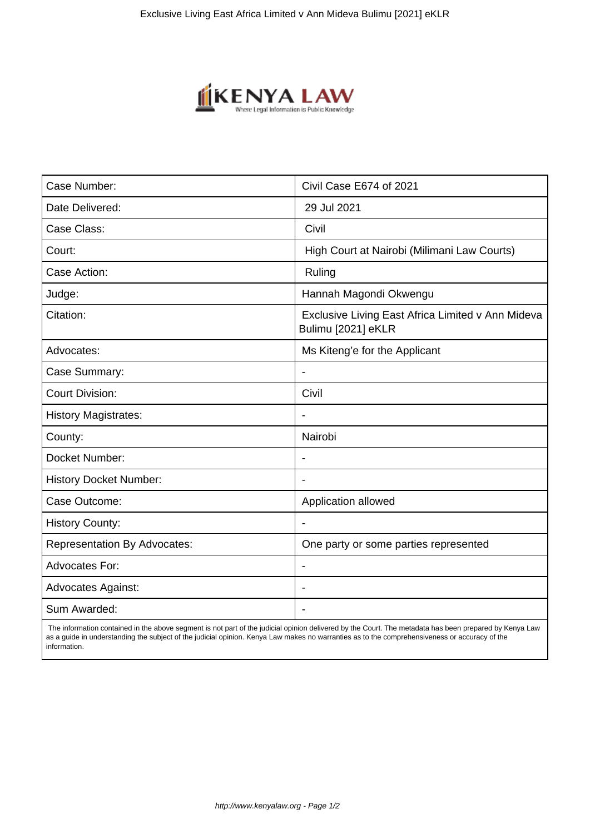

| Case Number:                        | Civil Case E674 of 2021                                                 |
|-------------------------------------|-------------------------------------------------------------------------|
| Date Delivered:                     | 29 Jul 2021                                                             |
| Case Class:                         | Civil                                                                   |
| Court:                              | High Court at Nairobi (Milimani Law Courts)                             |
| Case Action:                        | Ruling                                                                  |
| Judge:                              | Hannah Magondi Okwengu                                                  |
| Citation:                           | Exclusive Living East Africa Limited v Ann Mideva<br>Bulimu [2021] eKLR |
| Advocates:                          | Ms Kiteng'e for the Applicant                                           |
| Case Summary:                       |                                                                         |
| <b>Court Division:</b>              | Civil                                                                   |
| <b>History Magistrates:</b>         | $\overline{\phantom{a}}$                                                |
| County:                             | Nairobi                                                                 |
| Docket Number:                      |                                                                         |
| <b>History Docket Number:</b>       |                                                                         |
| Case Outcome:                       | Application allowed                                                     |
| <b>History County:</b>              | $\blacksquare$                                                          |
| <b>Representation By Advocates:</b> | One party or some parties represented                                   |
| <b>Advocates For:</b>               |                                                                         |
| <b>Advocates Against:</b>           |                                                                         |
| Sum Awarded:                        |                                                                         |

 The information contained in the above segment is not part of the judicial opinion delivered by the Court. The metadata has been prepared by Kenya Law as a guide in understanding the subject of the judicial opinion. Kenya Law makes no warranties as to the comprehensiveness or accuracy of the information.